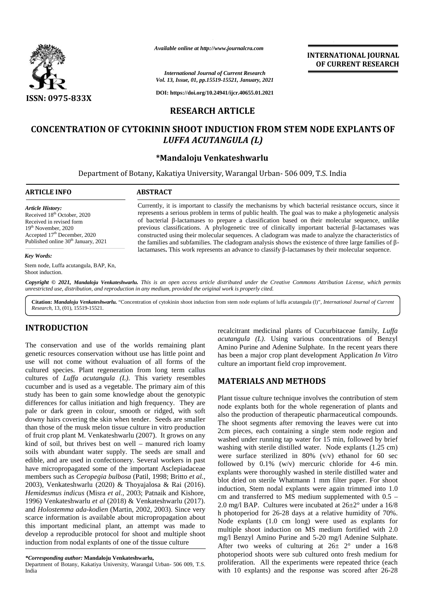

*Available online at http://www.journalcra.com*

*International Journal of Current Research Vol. 13, Issue, 01, pp.15519-15521, January, 2021*

**DOI: https://doi.org/10.24941/ijcr.40655.01.2021**

# **RESEARCH ARTICLE**

# **CONCENTRATION OF CYTOKININ SHOOT INDUCTION FROM STEM NODE EXPLANTS OF OF CYTOKININ SHOOT** *LUFFA ACUTANGULA (L)*

## **\*Mandaloju Venkateshwarlu \*Mandaloju Venkateshwarlu**

Department of Botany, Kakatiya University, Warangal Urban- 506 009, T.S. India Botany, Kakatiya University, Warangal India

#### **ARTICLE INFO ABSTRACT ARTICLE ABSTRACT**

*Article History:* Received 18<sup>th</sup> October, 2020 Received in revised form 19th November, 2020 Accepted 17<sup>th</sup> December, 2020 Published online 30<sup>th</sup> January, 2021

#### *Key Words:*

Stem node, Luffa acutangula, BAP, Kn, Shoot induction.

Currently, it is important to classify the mechanisms by which bacterial resistance occurs, since it Currently, it is important to classify the mechanisms by which bacterial resistance occurs, since it represents a serious problem in terms of public health. The goal was to make a phylogenetic analysis of bacterial -lactamases to prepare a classification based on their molecular sequence, unlike previous classifications. A phylogenetic tree of clinically important bacterial -lactamases was constructed using their molecular sequences. A cladogram was made to analyze the characteristics of the families and subfamilies. The cladogram analysis shows the existence of three large families of the families and subfamilies. The cladogram analysis shows the existence of three large families of -<br>lactamases. This work represents an advance to classify -lactamases by their molecular sequence. Available online at http://www.journalcra.com<br>
161 Vol. 13, Issue, 01, pp.15519-15521, January, 2021<br>
161 States (10, pp.15519-15521, January, 2021<br>
161 States (10, pp.15519-15521, January, 2021<br>
161 States (10, pp.15519-1

Copyright © 2021, Mandaloju Venkateshwarlu. This is an open access article distributed under the Creative Commons Attribution License, which permits unrestricted use, distribution, and reproduction in any medium, provided the original work is properly cited.

Citation: Mandaloju Venkateshwarlu. "Concentration of cytokinin shoot induction from stem node explants of luffa acutangula (1)", International Journal of Current *Research*, 13, (01), 15519-15521.

# **INTRODUCTION INTRODUCTION**

The conservation and use of the worlds remaining plant genetic resources conservation without use has little point and use will not come without evaluation of all forms of the cultured species. Plant regeneration from long term callus cultures of *Luffa acutangula (L)*. This variety resembles cucumber and is used as a vegetable. The primary aim of this study has been to gain some knowledge about the genotypic differences for callus initiation and high frequency. They are pale or dark green in colour, smooth or ridged, with soft downy hairs covering the skin when tender. Seeds are smaller than those of the musk melon tissue culture in vitro production of fruit crop plant M. Venkateshwarlu (2007). It grows on any kind of soil, but thrives best on well – manured rich loamy soils with abundant water supply. The seeds are small and edible, and are used in confectionery. Several workers in past have micropropagated some of the important Asclepiadaceae members such as *Ceropegia bulbosa* (Patil, 1998; Britto *et al.,* 2003), Venkateshwarlu (2020) & Thoyajalosa & Rai (2016). *Hemidesmus indicus* (Misra *et al.,* 2003; Patnaik and Kishore, *Hemidesmus* 1996) Venkateshwarlu *et al* (2018) & Venkateshwarlu (2017). and *Holostemma ada-kodien* (Martin, 2002, 2003). Since very scarce information is available about micropropagation about this important medicinal plant, an attempt was made to  $\frac{1}{m}$ develop a reproducible protocol for shoot and multiple shoot induction from nodal explants of one of the tissue culture The conservation and use of the worlds remaining plant<br>genetic resources conservation without use has little point and<br>use will not come without evaluation of all forms of the<br>cultured species. Plant regeneration from lon 1996) Venkateshwarlu *et al* (2018) & Venkateshwarlu and *Holostemma ada-kodien* (Martin, 2002, 2003). Sin scarce information is available about micropropagation this important medicinal plant, an attempt was m develop a IN I RODUCTION<br>
recalcitrant medicinal plant of Cucibitation Pharmatic and Constitute and Constitute and Active and Active and Active and Active and Active and Active and Active and Active and Active and Active and Active

Department of Botany, Kakatiya University, Warangal Urban- 506 009, T.S. India

recalcitrant medicinal plants of Cucurbitaceae family, *Luffa acutangula (L)*. Using various concentrations of Benzyl Amino Purine and Adenine Sulphate. In the recent years there has been a major crop plant development Application *In Vitro* culture an important field crop improvement. Purine and Adenine Sulphate. In the recent years<br>n a major crop plant development Application In<br>an important field crop improvement.

**INTERNATIONAL JOURNAL OF CURRENT RESEARCH**

## **MATERIALS AND METHODS**

Plant tissue culture technique involves the contribution of stem node explants both for the whole regeneration of plants and also the production of therapeutic pharmaceutical compounds. The shoot segments after removing the leaves were cut into 2cm pieces, each containing a single stem node region and washed under running tap water for 15 min, followed by brief Plant tissue culture technique involves the contribution of stem<br>node explants both for the whole regeneration of plants and<br>also the production of therapeutic pharmaceutical compounds.<br>The shoot segments after removing th were surface sterilized in 80% (v/v) ethanol for 60 sec followed by 0.1% (w/v) mercuric chloride for 4-6 min. explants were thoroughly washed in sterile distilled water and blot dried on sterile Whatmann 1 mm filter paper. For shoot induction, Stem nodal explants were again trimmed into 1.0 cm and transferred to MS medium supplemented with 0.5 – 2.0 mg/l BAP. Cultures were incubated at 26±2° under a 16/8 h photoperiod for 26-28 days at a relative humidity of 70%. Node explants (1.0 cm long) were used as explants for multiple shoot induction on MS medium fortified with 2.0 mg/l Benzyl Amino Purine and 5-20 mg/l Adenine Sulphate. After two weeks of culturing at  $26 \pm 2^{\circ}$  under a  $16/8$ photoperiod shoots were sub cultured onto fresh medium for proliferation. All the experiments were repeated thrice (each with 10 explants) and the response was scored after 26-28 were surface sterilized in 80%  $(v/v)$  ethanol for 60 sec<br>followed by 0.1%  $(w/v)$  mercuric chloride for 4-6 min.<br>explants were thoroughly washed in sterile distilled water and<br>blot dried on sterile Whatmann 1 mm filter paper Show that the median median on MS fortified 2.0 at the median median of the median median on MS for the median on MS for the median on MS for the median on MS for the median on MS for the median on MS for the median on MS water the model of the spectral control of the spectral control of the spectral control of the spectral control of the spectral control of the spectral control of the spectral control of the spectral control of the spectr

*<sup>\*</sup>Corresponding author:* **Mandaloju Venkateshwarlu,** *\*Corresponding* **Venkateshwarlu,**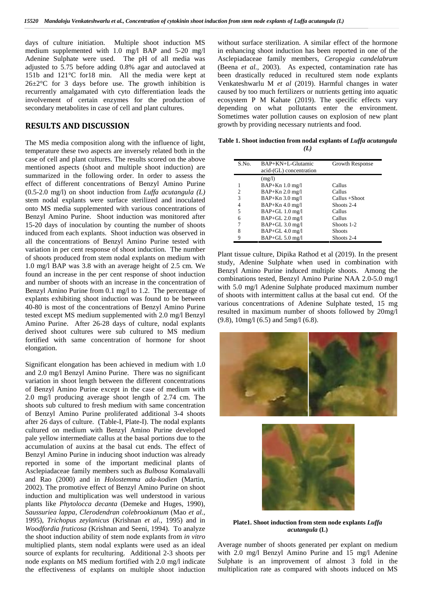days of culture initiation. Multiple shoot induction MS medium supplemented with 1.0 mg/l BAP and 5-20 mg/l Adenine Sulphate were used. The pH of all media was adjusted to 5.75 before adding 0.8% agar and autoclaved at 151b and 121°C for18 min. All the media were kept at  $26\pm2\degree$ C for 3 days before use. The growth inhibition is recurrently amalgamated with cyto differentiation leads the involvement of certain enzymes for the production of secondary metabolites in case of cell and plant cultures.

## **RESULTS AND DISCUSSION**

The MS media composition along with the influence of light, temperature these two aspects are inversely related both in the case of cell and plant cultures. The results scored on the above mentioned aspects (shoot and multiple shoot induction) are summarized in the following order. In order to assess the effect of different concentrations of Benzyl Amino Purine (0.5-2.0 mg/l) on shoot induction from *Luffa acutangula (L)* stem nodal explants were surface sterilized and inoculated onto MS media supplemented with various concentrations of Benzyl Amino Purine. Shoot induction was monitored after 15-20 days of inoculation by counting the number of shoots induced from each explants. Shoot induction was observed in all the concentrations of Benzyl Amino Purine tested with variation in per cent response of shoot induction. The number of shoots produced from stem nodal explants on medium with 1.0 mg/l BAP was 3.8 with an average height of 2.5 cm. We found an increase in the per cent response of shoot induction and number of shoots with an increase in the concentration of Benzyl Amino Purine from 0.1 mg/l to 1.2. The percentage of explants exhibiting shoot induction was found to be between 40-80 is most of the concentrations of Benzyl Amino Purine tested except MS medium supplemented with 2.0 mg/l Benzyl Amino Purine. After 26-28 days of culture, nodal explants derived shoot cultures were sub cultured to MS medium fortified with same concentration of hormone for shoot elongation.

Significant elongation has been achieved in medium with 1.0 and 2.0 mg/l Benzyl Amino Purine. There was no significant variation in shoot length between the different concentrations of Benzyl Amino Purine except in the case of medium with 2.0 mg/l producing average shoot length of 2.74 cm. The shoots sub cultured to fresh medium with same concentration of Benzyl Amino Purine proliferated additional 3-4 shoots after 26 days of culture. (Table-I, Plate-I). The nodal explants cultured on medium with Benzyl Amino Purine developed pale yellow intermediate callus at the basal portions due to the accumulation of auxins at the basal cut ends. The effect of Benzyl Amino Purine in inducing shoot induction was already reported in some of the important medicinal plants of Asclepiadaceae family members such as *Bulbosa* Komalavalli and Rao (2000) and in *Holostemma ada-kodien* (Martin, 2002). The promotive effect of Benzyl Amino Purine on shoot induction and multiplication was well understood in various plants like *Phytolocca decanta* (Demeke and Huges, 1990), *Saussuriea lappa*, *Clerodendran colebrookianum* (Mao *et al.,* 1995), *Trichopus zeylanicus* (Krishnan *et al.,* 1995) and in *Woodfordia fruticosa* (Krishnan and Seeni, 1994). To analyze the shoot induction ability of stem node explants from *in vitro* multiplied plants, stem nodal explants were used as an ideal source of explants for reculturing. Additional 2-3 shoots per node explants on MS medium fortified with 2.0 mg/l indicate the effectiveness of explants on multiple shoot induction

without surface sterilization. A similar effect of the hormone in enhancing shoot induction has been reported in one of the Asclepiadaceae family members, *Ceropegia candelabrum* (Beena *et al.,* 2003). As expected, contamination rate has been drastically reduced in recultured stem node explants Venkateshwarlu M *et al* (2019). Harmful changes in water caused by too much fertilizers or nutrients getting into aquatic ecosystem P M Kahate (2019). The specific effects vary depending on what pollutants enter the environment. Sometimes water pollution causes on explosion of new plant growth by providing necessary nutrients and food.

**Table 1. Shoot induction from nodal explants of** *Luffa acutangula (L)*

| S.No.          | BAP+KN+L-Glutamic<br>acid-(GL) concentration | Growth Response |
|----------------|----------------------------------------------|-----------------|
|                | (mg/l)                                       |                 |
|                | $BAP+Kn 1.0 mg/l$                            | Callus          |
| $\mathfrak{D}$ | $BAP+Kn$ 2.0 mg/l                            | Callus          |
| 3              | $BAP+Kn$ 3.0 mg/l                            | Callus +Shoot   |
| 4              | $BAP+Kn$ 4.0 mg/l                            | Shoots 2-4      |
| 5              | $BAP+GL$ 1.0 mg/l                            | Callus          |
| 6              | $BAP+GL$ 2.0 mg/l                            | Callus          |
|                | BAP+GL 3.0 mg/l                              | Shoots 1-2      |
| 8              | $BAP+GL$ 4.0 mg/l                            | <b>Shoots</b>   |
| 9              | $BAP+GL$ 5.0 mg/l                            | Shoots 2-4      |

Plant tissue culture, Dipika Rathod et al (2019). In the present study, Adenine Sulphate when used in combination with Benzyl Amino Purine induced multiple shoots. Among the combinations tested, Benzyl Amino Purine NAA 2.0-5.0 mg/l with 5.0 mg/l Adenine Sulphate produced maximum number of shoots with intermittent callus at the basal cut end. Of the various concentrations of Adenine Sulphate tested, 15 mg resulted in maximum number of shoots followed by 20mg/l (9.8), 10mg/l (6.5) and 5mg/l (6.8).





**Plate1. Shoot induction from stem node explants** *Luffa acutangula* **(L)**

Average number of shoots generated per explant on medium with 2.0 mg/l Benzyl Amino Purine and 15 mg/l Adenine Sulphate is an improvement of almost 3 fold in the multiplication rate as compared with shoots induced on MS